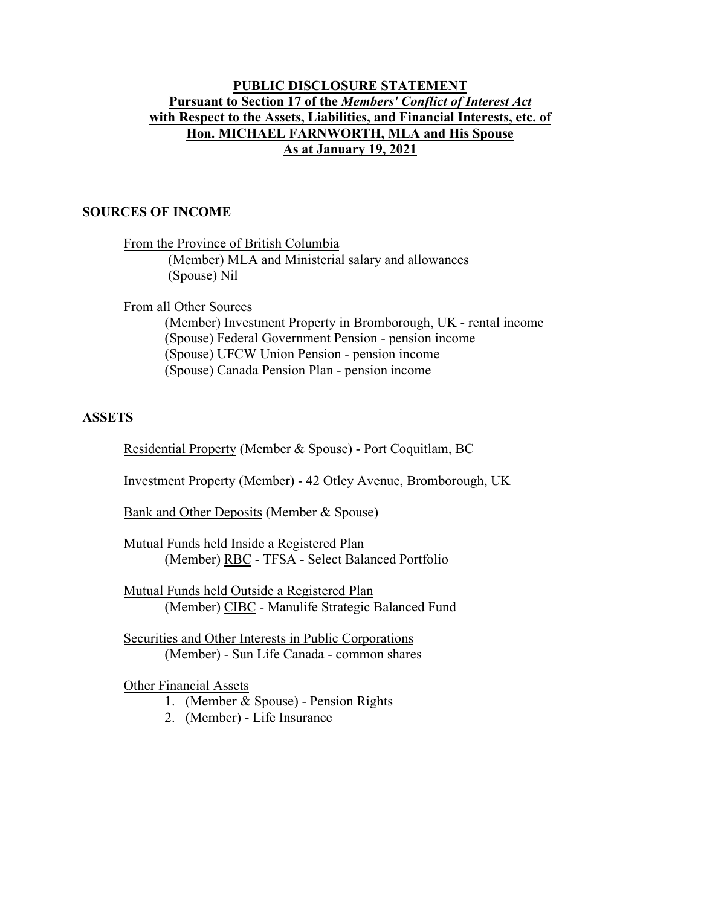## **PUBLIC DISCLOSURE STATEMENT Pursuant to Section 17 of the** *Members' Conflict of Interest Act* **with Respect to the Assets, Liabilities, and Financial Interests, etc. of Hon. MICHAEL FARNWORTH, MLA and His Spouse As at January 19, 2021**

#### **SOURCES OF INCOME**

From the Province of British Columbia (Member) MLA and Ministerial salary and allowances (Spouse) Nil

From all Other Sources

 (Member) Investment Property in Bromborough, UK - rental income (Spouse) Federal Government Pension - pension income (Spouse) UFCW Union Pension - pension income (Spouse) Canada Pension Plan - pension income

### **ASSETS**

Residential Property (Member & Spouse) - Port Coquitlam, BC

Investment Property (Member) - 42 Otley Avenue, Bromborough, UK

Bank and Other Deposits (Member & Spouse)

- Mutual Funds held Inside a Registered Plan (Member) RBC - TFSA - Select Balanced Portfolio
- Mutual Funds held Outside a Registered Plan (Member) CIBC - Manulife Strategic Balanced Fund
- Securities and Other Interests in Public Corporations (Member) - Sun Life Canada - common shares

#### Other Financial Assets

- 1. (Member & Spouse) Pension Rights
- 2. (Member) Life Insurance